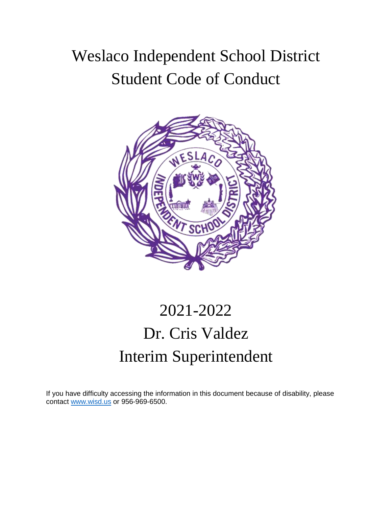## Weslaco Independent School District Student Code of Conduct



# 2021-2022 Dr. Cris Valdez Interim Superintendent

If you have difficulty accessing the information in this document because of disability, please contact www.wisd.us or 956-969-6500.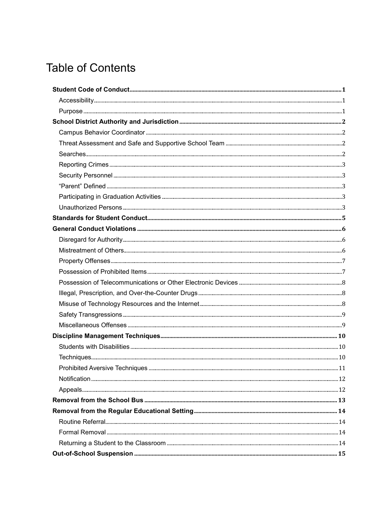## **Table of Contents**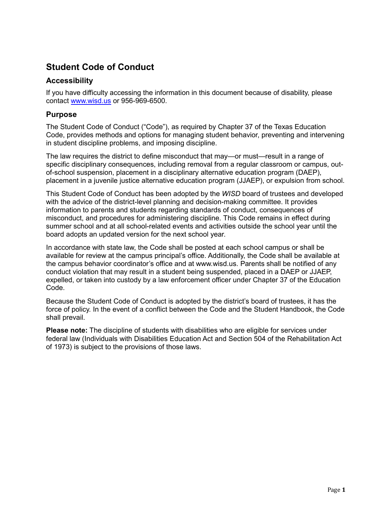## <span id="page-3-0"></span>**Student Code of Conduct**

#### <span id="page-3-1"></span>**Accessibility**

If you have difficulty accessing the information in this document because of disability, please contact [www.wisd.us](http://www.wisd.us/) or 956-969-6500.

#### <span id="page-3-2"></span>**Purpose**

The Student Code of Conduct ("Code"), as required by Chapter 37 of the Texas Education Code, provides methods and options for managing student behavior, preventing and intervening in student discipline problems, and imposing discipline.

The law requires the district to define misconduct that may—or must—result in a range of specific disciplinary consequences, including removal from a regular classroom or campus, outof-school suspension, placement in a disciplinary alternative education program (DAEP), placement in a juvenile justice alternative education program (JJAEP), or expulsion from school.

This Student Code of Conduct has been adopted by the *WISD* board of trustees and developed with the advice of the district-level planning and decision-making committee. It provides information to parents and students regarding standards of conduct, consequences of misconduct, and procedures for administering discipline. This Code remains in effect during summer school and at all school-related events and activities outside the school year until the board adopts an updated version for the next school year.

In accordance with state law, the Code shall be posted at each school campus or shall be available for review at the campus principal's office. Additionally, the Code shall be available at the campus behavior coordinator's office and at www.wisd.us. Parents shall be notified of any conduct violation that may result in a student being suspended, placed in a DAEP or JJAEP, expelled, or taken into custody by a law enforcement officer under Chapter 37 of the Education Code.

Because the Student Code of Conduct is adopted by the district's board of trustees, it has the force of policy. In the event of a conflict between the Code and the Student Handbook, the Code shall prevail.

**Please note:** The discipline of students with disabilities who are eligible for services under federal law (Individuals with Disabilities Education Act and Section 504 of the Rehabilitation Act of 1973) is subject to the provisions of those laws.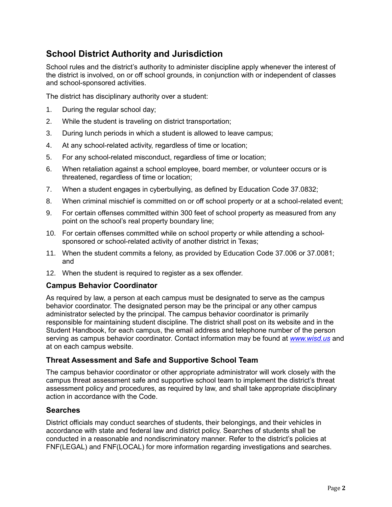## <span id="page-4-0"></span>**School District Authority and Jurisdiction**

School rules and the district's authority to administer discipline apply whenever the interest of the district is involved, on or off school grounds, in conjunction with or independent of classes and school-sponsored activities.

The district has disciplinary authority over a student:

- 1. During the regular school day;
- 2. While the student is traveling on district transportation;
- 3. During lunch periods in which a student is allowed to leave campus;
- 4. At any school-related activity, regardless of time or location;
- 5. For any school-related misconduct, regardless of time or location;
- 6. When retaliation against a school employee, board member, or volunteer occurs or is threatened, regardless of time or location;
- 7. When a student engages in cyberbullying, as defined by Education Code 37.0832;
- 8. When criminal mischief is committed on or off school property or at a school-related event;
- 9. For certain offenses committed within 300 feet of school property as measured from any point on the school's real property boundary line;
- 10. For certain offenses committed while on school property or while attending a schoolsponsored or school-related activity of another district in Texas;
- 11. When the student commits a felony, as provided by Education Code 37.006 or 37.0081; and
- 12. When the student is required to register as a sex offender.

#### <span id="page-4-1"></span>**Campus Behavior Coordinator**

As required by law, a person at each campus must be designated to serve as the campus behavior coordinator. The designated person may be the principal or any other campus administrator selected by the principal. The campus behavior coordinator is primarily responsible for maintaining student discipline. The district shall post on its website and in the Student Handbook, for each campus, the email address and telephone number of the person serving as campus behavior coordinator. Contact information may be found at *[www.wisd.us](http://www.wisd.us/)* and at on each campus website.

#### <span id="page-4-2"></span>**Threat Assessment and Safe and Supportive School Team**

The campus behavior coordinator or other appropriate administrator will work closely with the campus threat assessment safe and supportive school team to implement the district's threat assessment policy and procedures, as required by law, and shall take appropriate disciplinary action in accordance with the Code.

#### <span id="page-4-3"></span>**Searches**

District officials may conduct searches of students, their belongings, and their vehicles in accordance with state and federal law and district policy. Searches of students shall be conducted in a reasonable and nondiscriminatory manner. Refer to the district's policies at FNF(LEGAL) and FNF(LOCAL) for more information regarding investigations and searches.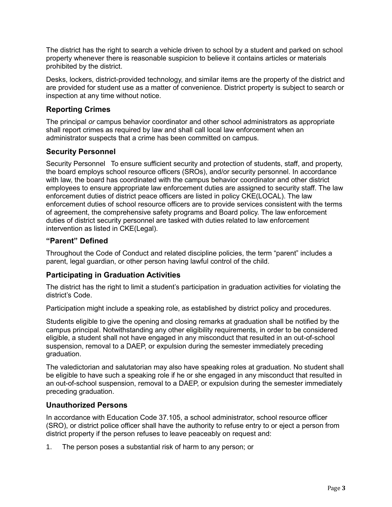The district has the right to search a vehicle driven to school by a student and parked on school property whenever there is reasonable suspicion to believe it contains articles or materials prohibited by the district.

Desks, lockers, district-provided technology, and similar items are the property of the district and are provided for student use as a matter of convenience. District property is subject to search or inspection at any time without notice.

#### <span id="page-5-0"></span>**Reporting Crimes**

The principal *or* campus behavior coordinator and other school administrators as appropriate shall report crimes as required by law and shall call local law enforcement when an administrator suspects that a crime has been committed on campus.

#### <span id="page-5-1"></span>**Security Personnel**

Security Personnel To ensure sufficient security and protection of students, staff, and property, the board employs school resource officers (SROs), and/or security personnel. In accordance with law, the board has coordinated with the campus behavior coordinator and other district employees to ensure appropriate law enforcement duties are assigned to security staff. The law enforcement duties of district peace officers are listed in policy CKE(LOCAL). The law enforcement duties of school resource officers are to provide services consistent with the terms of agreement, the comprehensive safety programs and Board policy. The law enforcement duties of district security personnel are tasked with duties related to law enforcement intervention as listed in CKE(Legal).

#### <span id="page-5-2"></span>**"Parent" Defined**

Throughout the Code of Conduct and related discipline policies, the term "parent" includes a parent, legal guardian, or other person having lawful control of the child.

#### <span id="page-5-3"></span>**Participating in Graduation Activities**

The district has the right to limit a student's participation in graduation activities for violating the district's Code.

Participation might include a speaking role, as established by district policy and procedures.

Students eligible to give the opening and closing remarks at graduation shall be notified by the campus principal. Notwithstanding any other eligibility requirements, in order to be considered eligible, a student shall not have engaged in any misconduct that resulted in an out-of-school suspension, removal to a DAEP, or expulsion during the semester immediately preceding graduation.

The valedictorian and salutatorian may also have speaking roles at graduation. No student shall be eligible to have such a speaking role if he or she engaged in any misconduct that resulted in an out-of-school suspension, removal to a DAEP, or expulsion during the semester immediately preceding graduation.

#### <span id="page-5-4"></span>**Unauthorized Persons**

In accordance with Education Code 37.105, a school administrator, school resource officer (SRO), or district police officer shall have the authority to refuse entry to or eject a person from district property if the person refuses to leave peaceably on request and:

1. The person poses a substantial risk of harm to any person; or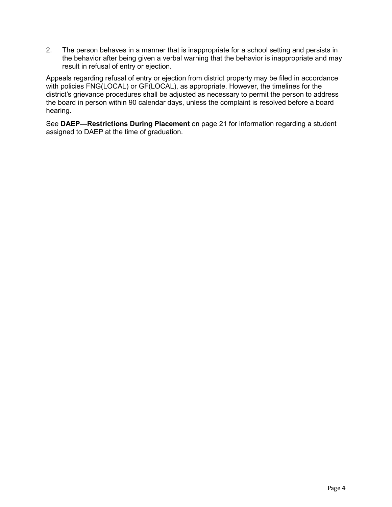2. The person behaves in a manner that is inappropriate for a school setting and persists in the behavior after being given a verbal warning that the behavior is inappropriate and may result in refusal of entry or ejection.

Appeals regarding refusal of entry or ejection from district property may be filed in accordance with policies FNG(LOCAL) or GF(LOCAL), as appropriate. However, the timelines for the district's grievance procedures shall be adjusted as necessary to permit the person to address the board in person within 90 calendar days, unless the complaint is resolved before a board hearing.

See **DAEP—Restrictions During Placement** on page [21](#page-23-1) for information regarding a student assigned to DAEP at the time of graduation.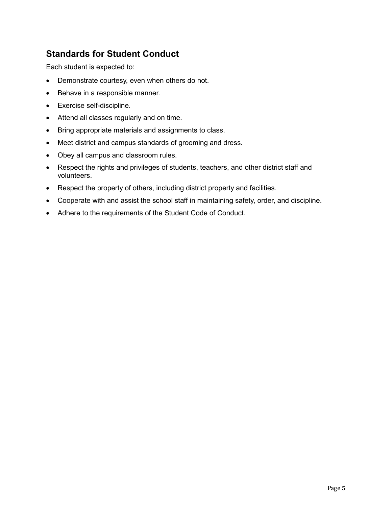## <span id="page-7-0"></span>**Standards for Student Conduct**

Each student is expected to:

- Demonstrate courtesy, even when others do not.
- Behave in a responsible manner.
- Exercise self-discipline.
- Attend all classes regularly and on time.
- Bring appropriate materials and assignments to class.
- Meet district and campus standards of grooming and dress.
- Obey all campus and classroom rules.
- Respect the rights and privileges of students, teachers, and other district staff and volunteers.
- Respect the property of others, including district property and facilities.
- Cooperate with and assist the school staff in maintaining safety, order, and discipline.
- Adhere to the requirements of the Student Code of Conduct.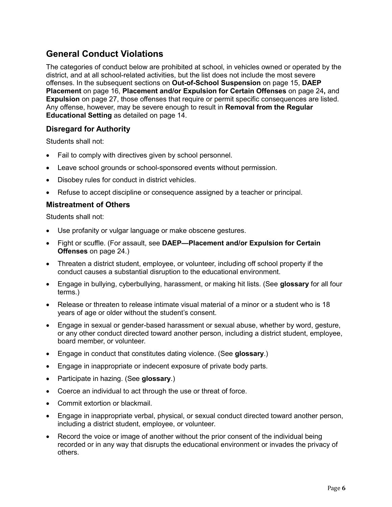## <span id="page-8-0"></span>**General Conduct Violations**

The categories of conduct below are prohibited at school, in vehicles owned or operated by the district, and at all school-related activities, but the list does not include the most severe offenses. In the subsequent sections on **Out-of-School Suspension** on page [15,](#page-17-0) **DAEP Placement** on page [16,](#page-18-1) **Placement and/or Expulsion for Certain Offenses** on page [24](#page-26-0)**,** and **Expulsion** on page [27,](#page-29-0) those offenses that require or permit specific consequences are listed. Any offense, however, may be severe enough to result in **Removal from the Regular Educational Setting** as detailed on page [14.](#page-16-0)

#### <span id="page-8-1"></span>**Disregard for Authority**

Students shall not:

- Fail to comply with directives given by school personnel.
- Leave school grounds or school-sponsored events without permission.
- Disobey rules for conduct in district vehicles.
- Refuse to accept discipline or consequence assigned by a teacher or principal.

#### <span id="page-8-2"></span>**Mistreatment of Others**

Students shall not:

- Use profanity or vulgar language or make obscene gestures.
- Fight or scuffle. (For assault, see **DAEP—Placement and/or Expulsion for Certain Offenses** on page [24.](#page-26-0))
- Threaten a district student, employee, or volunteer, including off school property if the conduct causes a substantial disruption to the educational environment.
- Engage in bullying, cyberbullying, harassment, or making hit lists. (See **glossary** for all four terms.)
- Release or threaten to release intimate visual material of a minor or a student who is 18 years of age or older without the student's consent.
- Engage in sexual or gender-based harassment or sexual abuse, whether by word, gesture, or any other conduct directed toward another person, including a district student, employee, board member, or volunteer.
- Engage in conduct that constitutes dating violence. (See **glossary**.)
- Engage in inappropriate or indecent exposure of private body parts.
- Participate in hazing. (See **glossary**.)
- Coerce an individual to act through the use or threat of force.
- Commit extortion or blackmail.
- Engage in inappropriate verbal, physical, or sexual conduct directed toward another person, including a district student, employee, or volunteer.
- Record the voice or image of another without the prior consent of the individual being recorded or in any way that disrupts the educational environment or invades the privacy of others.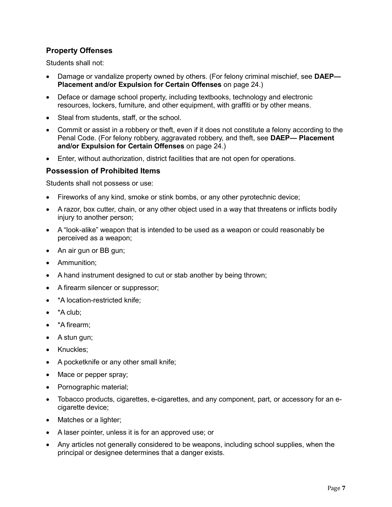#### <span id="page-9-0"></span>**Property Offenses**

Students shall not:

- Damage or vandalize property owned by others. (For felony criminal mischief, see **DAEP— Placement and/or Expulsion for Certain Offenses** on page [24.](#page-26-0))
- Deface or damage school property, including textbooks, technology and electronic resources, lockers, furniture, and other equipment, with graffiti or by other means.
- Steal from students, staff, or the school.
- Commit or assist in a robbery or theft, even if it does not constitute a felony according to the Penal Code. (For felony robbery, aggravated robbery, and theft, see **DAEP— Placement and/or Expulsion for Certain Offenses** on page [24.](#page-26-0))
- Enter, without authorization, district facilities that are not open for operations.

#### <span id="page-9-1"></span>**Possession of Prohibited Items**

Students shall not possess or use:

- Fireworks of any kind, smoke or stink bombs, or any other pyrotechnic device;
- A razor, box cutter, chain, or any other object used in a way that threatens or inflicts bodily injury to another person;
- A "look-alike" weapon that is intended to be used as a weapon or could reasonably be perceived as a weapon;
- An air gun or BB gun;
- Ammunition;
- A hand instrument designed to cut or stab another by being thrown;
- A firearm silencer or suppressor;
- \*A location-restricted knife:
- \*A club;
- \*A firearm;
- A stun gun;
- Knuckles;
- A pocketknife or any other small knife;
- Mace or pepper spray;
- Pornographic material;
- Tobacco products, cigarettes, e-cigarettes, and any component, part, or accessory for an ecigarette device;
- Matches or a lighter;
- A laser pointer, unless it is for an approved use; or
- Any articles not generally considered to be weapons, including school supplies, when the principal or designee determines that a danger exists.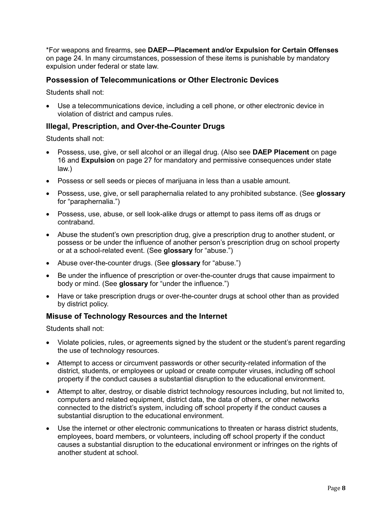\*For weapons and firearms, see **DAEP—Placement and/or Expulsion for Certain Offenses**  on page [24.](#page-26-0) In many circumstances, possession of these items is punishable by mandatory expulsion under federal or state law.

#### <span id="page-10-0"></span>**Possession of Telecommunications or Other Electronic Devices**

Students shall not:

 Use a telecommunications device, including a cell phone, or other electronic device in violation of district and campus rules.

#### <span id="page-10-1"></span>**Illegal, Prescription, and Over-the-Counter Drugs**

Students shall not:

- Possess, use, give, or sell alcohol or an illegal drug. (Also see **DAEP Placement** on page [16](#page-18-1) and **Expulsion** on page [27](#page-29-0) for mandatory and permissive consequences under state law.)
- Possess or sell seeds or pieces of marijuana in less than a usable amount.
- Possess, use, give, or sell paraphernalia related to any prohibited substance. (See **glossary** for "paraphernalia.")
- Possess, use, abuse, or sell look-alike drugs or attempt to pass items off as drugs or contraband.
- Abuse the student's own prescription drug, give a prescription drug to another student, or possess or be under the influence of another person's prescription drug on school property or at a school-related event. (See **glossary** for "abuse.")
- Abuse over-the-counter drugs. (See **glossary** for "abuse.")
- Be under the influence of prescription or over-the-counter drugs that cause impairment to body or mind. (See **glossary** for "under the influence.")
- Have or take prescription drugs or over-the-counter drugs at school other than as provided by district policy.

#### <span id="page-10-2"></span>**Misuse of Technology Resources and the Internet**

Students shall not:

- Violate policies, rules, or agreements signed by the student or the student's parent regarding the use of technology resources.
- Attempt to access or circumvent passwords or other security-related information of the district, students, or employees or upload or create computer viruses, including off school property if the conduct causes a substantial disruption to the educational environment.
- Attempt to alter, destroy, or disable district technology resources including, but not limited to, computers and related equipment, district data, the data of others, or other networks connected to the district's system, including off school property if the conduct causes a substantial disruption to the educational environment.
- Use the internet or other electronic communications to threaten or harass district students, employees, board members, or volunteers, including off school property if the conduct causes a substantial disruption to the educational environment or infringes on the rights of another student at school.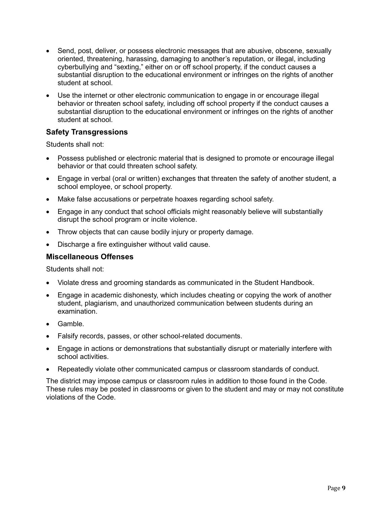- Send, post, deliver, or possess electronic messages that are abusive, obscene, sexually oriented, threatening, harassing, damaging to another's reputation, or illegal, including cyberbullying and "sexting," either on or off school property, if the conduct causes a substantial disruption to the educational environment or infringes on the rights of another student at school.
- Use the internet or other electronic communication to engage in or encourage illegal behavior or threaten school safety, including off school property if the conduct causes a substantial disruption to the educational environment or infringes on the rights of another student at school.

#### <span id="page-11-0"></span>**Safety Transgressions**

Students shall not:

- Possess published or electronic material that is designed to promote or encourage illegal behavior or that could threaten school safety.
- Engage in verbal (oral or written) exchanges that threaten the safety of another student, a school employee, or school property.
- Make false accusations or perpetrate hoaxes regarding school safety.
- Engage in any conduct that school officials might reasonably believe will substantially disrupt the school program or incite violence.
- Throw objects that can cause bodily injury or property damage.
- Discharge a fire extinguisher without valid cause.

#### <span id="page-11-1"></span>**Miscellaneous Offenses**

Students shall not:

- Violate dress and grooming standards as communicated in the Student Handbook.
- Engage in academic dishonesty, which includes cheating or copying the work of another student, plagiarism, and unauthorized communication between students during an examination.
- Gamble.
- Falsify records, passes, or other school-related documents.
- Engage in actions or demonstrations that substantially disrupt or materially interfere with school activities.
- Repeatedly violate other communicated campus or classroom standards of conduct.

The district may impose campus or classroom rules in addition to those found in the Code. These rules may be posted in classrooms or given to the student and may or may not constitute violations of the Code.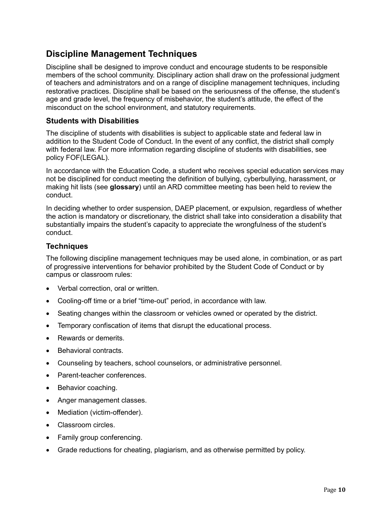### <span id="page-12-0"></span>**Discipline Management Techniques**

Discipline shall be designed to improve conduct and encourage students to be responsible members of the school community. Disciplinary action shall draw on the professional judgment of teachers and administrators and on a range of discipline management techniques, including restorative practices. Discipline shall be based on the seriousness of the offense, the student's age and grade level, the frequency of misbehavior, the student's attitude, the effect of the misconduct on the school environment, and statutory requirements.

#### <span id="page-12-1"></span>**Students with Disabilities**

The discipline of students with disabilities is subject to applicable state and federal law in addition to the Student Code of Conduct. In the event of any conflict, the district shall comply with federal law. For more information regarding discipline of students with disabilities, see policy FOF(LEGAL).

In accordance with the Education Code, a student who receives special education services may not be disciplined for conduct meeting the definition of bullying, cyberbullying, harassment, or making hit lists (see **glossary**) until an ARD committee meeting has been held to review the conduct.

In deciding whether to order suspension, DAEP placement, or expulsion, regardless of whether the action is mandatory or discretionary, the district shall take into consideration a disability that substantially impairs the student's capacity to appreciate the wrongfulness of the student's conduct.

#### <span id="page-12-2"></span>**Techniques**

The following discipline management techniques may be used alone, in combination, or as part of progressive interventions for behavior prohibited by the Student Code of Conduct or by campus or classroom rules:

- Verbal correction, oral or written.
- Cooling-off time or a brief "time-out" period, in accordance with law.
- Seating changes within the classroom or vehicles owned or operated by the district.
- Temporary confiscation of items that disrupt the educational process.
- Rewards or demerits.
- Behavioral contracts.
- Counseling by teachers, school counselors, or administrative personnel.
- Parent-teacher conferences.
- Behavior coaching.
- Anger management classes.
- Mediation (victim-offender).
- Classroom circles.
- Family group conferencing.
- Grade reductions for cheating, plagiarism, and as otherwise permitted by policy.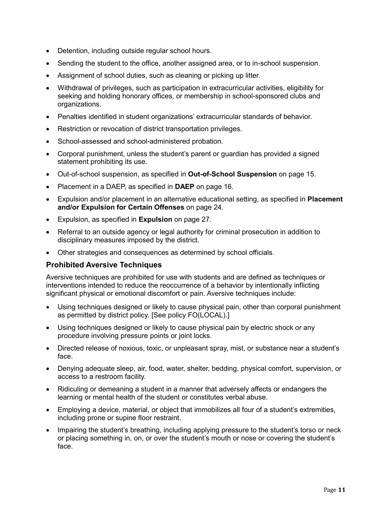- Detention, including outside regular school hours.
- Sending the student to the office, another assigned area, or to in-school suspension.
- Assignment of school duties, such as cleaning or picking up litter.
- Withdrawal of privileges, such as participation in extracurricular activities, eligibility for seeking and holding honorary offices, or membership in school-sponsored clubs and organizations.
- Penalties identified in student organizations' extracurricular standards of behavior.
- Restriction or revocation of district transportation privileges.
- School-assessed and school-administered probation.
- Corporal punishment, unless the student's parent or guardian has provided a signed statement prohibiting its use.
- Out-of-school suspension, as specified in **Out-of-School Suspension** on page [15.](#page-17-0)
- Placement in a DAEP, as specified in **DAEP** on page [16.](#page-18-1)
- Expulsion and/or placement in an alternative educational setting, as specified in **Placement and/or Expulsion for Certain Offenses** on page [24.](#page-26-0)
- Expulsion, as specified in **Expulsion** on page [27.](#page-29-0)
- Referral to an outside agency or legal authority for criminal prosecution in addition to disciplinary measures imposed by the district.
- Other strategies and consequences as determined by school officials.

#### <span id="page-13-0"></span>**Prohibited Aversive Techniques**

Aversive techniques are prohibited for use with students and are defined as techniques or interventions intended to reduce the reoccurrence of a behavior by intentionally inflicting significant physical or emotional discomfort or pain. Aversive techniques include:

- Using techniques designed or likely to cause physical pain, other than corporal punishment as permitted by district policy. [See policy FO(LOCAL).]
- Using techniques designed or likely to cause physical pain by electric shock or any procedure involving pressure points or joint locks.
- Directed release of noxious, toxic, or unpleasant spray, mist, or substance near a student's face.
- Denying adequate sleep, air, food, water, shelter, bedding, physical comfort, supervision, or access to a restroom facility.
- Ridiculing or demeaning a student in a manner that adversely affects or endangers the learning or mental health of the student or constitutes verbal abuse.
- Employing a device, material, or object that immobilizes all four of a student's extremities, including prone or supine floor restraint.
- Impairing the student's breathing, including applying pressure to the student's torso or neck or placing something in, on, or over the student's mouth or nose or covering the student's face.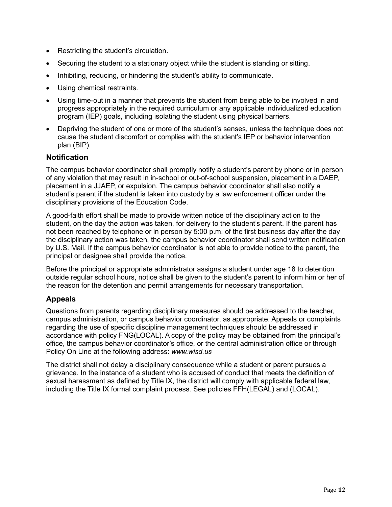- Restricting the student's circulation.
- Securing the student to a stationary object while the student is standing or sitting.
- Inhibiting, reducing, or hindering the student's ability to communicate.
- Using chemical restraints.
- Using time-out in a manner that prevents the student from being able to be involved in and progress appropriately in the required curriculum or any applicable individualized education program (IEP) goals, including isolating the student using physical barriers.
- Depriving the student of one or more of the student's senses, unless the technique does not cause the student discomfort or complies with the student's IEP or behavior intervention plan (BIP).

#### <span id="page-14-0"></span>**Notification**

The campus behavior coordinator shall promptly notify a student's parent by phone or in person of any violation that may result in in-school or out-of-school suspension, placement in a DAEP, placement in a JJAEP, or expulsion. The campus behavior coordinator shall also notify a student's parent if the student is taken into custody by a law enforcement officer under the disciplinary provisions of the Education Code.

A good-faith effort shall be made to provide written notice of the disciplinary action to the student, on the day the action was taken, for delivery to the student's parent. If the parent has not been reached by telephone or in person by 5:00 p.m. of the first business day after the day the disciplinary action was taken, the campus behavior coordinator shall send written notification by U.S. Mail. If the campus behavior coordinator is not able to provide notice to the parent, the principal or designee shall provide the notice.

Before the principal or appropriate administrator assigns a student under age 18 to detention outside regular school hours, notice shall be given to the student's parent to inform him or her of the reason for the detention and permit arrangements for necessary transportation.

#### <span id="page-14-1"></span>**Appeals**

Questions from parents regarding disciplinary measures should be addressed to the teacher, campus administration, or campus behavior coordinator, as appropriate. Appeals or complaints regarding the use of specific discipline management techniques should be addressed in accordance with policy FNG(LOCAL). A copy of the policy may be obtained from the principal's office, the campus behavior coordinator's office, or the central administration office or through Policy On Line at the following address: *www.wisd.us*

The district shall not delay a disciplinary consequence while a student or parent pursues a grievance. In the instance of a student who is accused of conduct that meets the definition of sexual harassment as defined by Title IX, the district will comply with applicable federal law, including the Title IX formal complaint process. See policies FFH(LEGAL) and (LOCAL).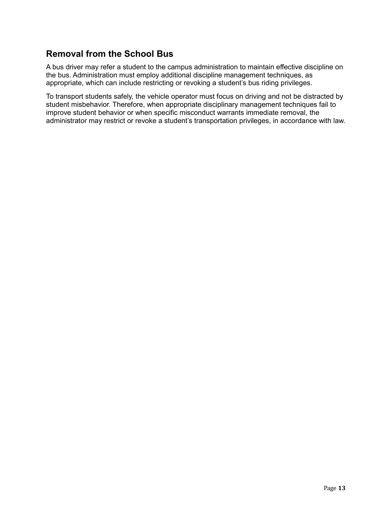## <span id="page-15-0"></span>**Removal from the School Bus**

A bus driver may refer a student to the campus administration to maintain effective discipline on the bus. Administration must employ additional discipline management techniques, as appropriate, which can include restricting or revoking a student's bus riding privileges.

To transport students safely, the vehicle operator must focus on driving and not be distracted by student misbehavior. Therefore, when appropriate disciplinary management techniques fail to improve student behavior or when specific misconduct warrants immediate removal, the administrator may restrict or revoke a student's transportation privileges, in accordance with law.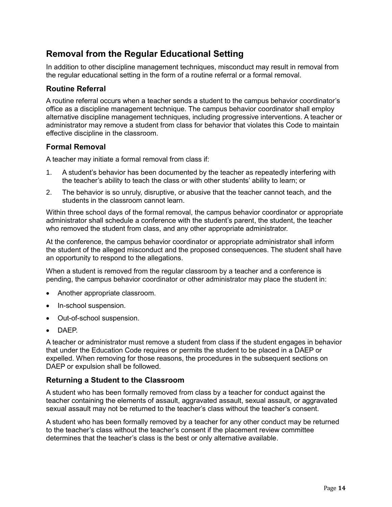## <span id="page-16-0"></span>**Removal from the Regular Educational Setting**

In addition to other discipline management techniques, misconduct may result in removal from the regular educational setting in the form of a routine referral or a formal removal.

#### <span id="page-16-1"></span>**Routine Referral**

A routine referral occurs when a teacher sends a student to the campus behavior coordinator's office as a discipline management technique. The campus behavior coordinator shall employ alternative discipline management techniques, including progressive interventions. A teacher or administrator may remove a student from class for behavior that violates this Code to maintain effective discipline in the classroom.

#### <span id="page-16-2"></span>**Formal Removal**

A teacher may initiate a formal removal from class if:

- 1. A student's behavior has been documented by the teacher as repeatedly interfering with the teacher's ability to teach the class or with other students' ability to learn; or
- 2. The behavior is so unruly, disruptive, or abusive that the teacher cannot teach, and the students in the classroom cannot learn.

Within three school days of the formal removal, the campus behavior coordinator or appropriate administrator shall schedule a conference with the student's parent, the student, the teacher who removed the student from class, and any other appropriate administrator.

At the conference, the campus behavior coordinator or appropriate administrator shall inform the student of the alleged misconduct and the proposed consequences. The student shall have an opportunity to respond to the allegations.

When a student is removed from the regular classroom by a teacher and a conference is pending, the campus behavior coordinator or other administrator may place the student in:

- Another appropriate classroom.
- In-school suspension.
- Out-of-school suspension.
- DAEP.

A teacher or administrator must remove a student from class if the student engages in behavior that under the Education Code requires or permits the student to be placed in a DAEP or expelled. When removing for those reasons, the procedures in the subsequent sections on DAEP or expulsion shall be followed.

#### <span id="page-16-3"></span>**Returning a Student to the Classroom**

A student who has been formally removed from class by a teacher for conduct against the teacher containing the elements of assault, aggravated assault, sexual assault, or aggravated sexual assault may not be returned to the teacher's class without the teacher's consent.

A student who has been formally removed by a teacher for any other conduct may be returned to the teacher's class without the teacher's consent if the placement review committee determines that the teacher's class is the best or only alternative available.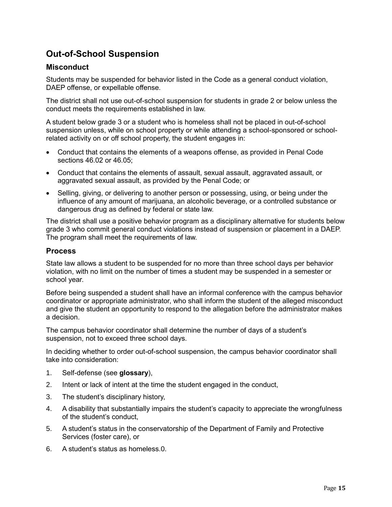## <span id="page-17-0"></span>**Out-of-School Suspension**

#### <span id="page-17-1"></span>**Misconduct**

Students may be suspended for behavior listed in the Code as a general conduct violation, DAEP offense, or expellable offense.

The district shall not use out-of-school suspension for students in grade 2 or below unless the conduct meets the requirements established in law.

A student below grade 3 or a student who is homeless shall not be placed in out-of-school suspension unless, while on school property or while attending a school-sponsored or schoolrelated activity on or off school property, the student engages in:

- Conduct that contains the elements of a weapons offense, as provided in Penal Code sections 46.02 or 46.05;
- Conduct that contains the elements of assault, sexual assault, aggravated assault, or aggravated sexual assault, as provided by the Penal Code; or
- Selling, giving, or delivering to another person or possessing, using, or being under the influence of any amount of marijuana, an alcoholic beverage, or a controlled substance or dangerous drug as defined by federal or state law.

The district shall use a positive behavior program as a disciplinary alternative for students below grade 3 who commit general conduct violations instead of suspension or placement in a DAEP. The program shall meet the requirements of law.

#### <span id="page-17-2"></span>**Process**

State law allows a student to be suspended for no more than three school days per behavior violation, with no limit on the number of times a student may be suspended in a semester or school year.

Before being suspended a student shall have an informal conference with the campus behavior coordinator or appropriate administrator, who shall inform the student of the alleged misconduct and give the student an opportunity to respond to the allegation before the administrator makes a decision.

The campus behavior coordinator shall determine the number of days of a student's suspension, not to exceed three school days.

In deciding whether to order out-of-school suspension, the campus behavior coordinator shall take into consideration:

- 1. Self-defense (see **glossary**),
- 2. Intent or lack of intent at the time the student engaged in the conduct,
- 3. The student's disciplinary history,
- 4. A disability that substantially impairs the student's capacity to appreciate the wrongfulness of the student's conduct,
- 5. A student's status in the conservatorship of the Department of Family and Protective Services (foster care), or
- 6. A student's status as homeless.0.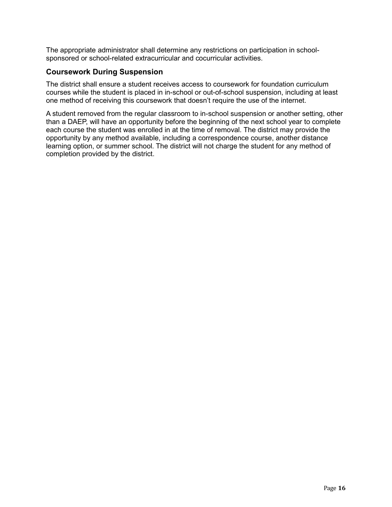The appropriate administrator shall determine any restrictions on participation in schoolsponsored or school-related extracurricular and cocurricular activities.

#### <span id="page-18-0"></span>**Coursework During Suspension**

The district shall ensure a student receives access to coursework for foundation curriculum courses while the student is placed in in-school or out-of-school suspension, including at least one method of receiving this coursework that doesn't require the use of the internet.

<span id="page-18-1"></span>A student removed from the regular classroom to in-school suspension or another setting, other than a DAEP, will have an opportunity before the beginning of the next school year to complete each course the student was enrolled in at the time of removal. The district may provide the opportunity by any method available, including a correspondence course, another distance learning option, or summer school. The district will not charge the student for any method of completion provided by the district.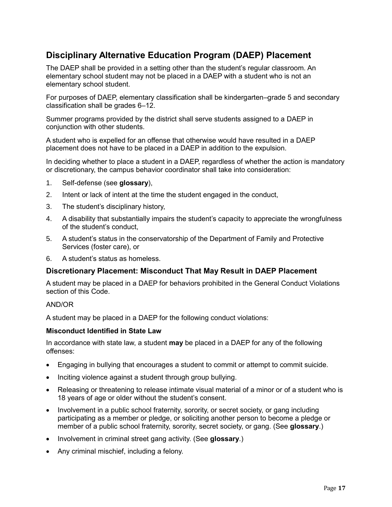## <span id="page-19-0"></span>**Disciplinary Alternative Education Program (DAEP) Placement**

The DAEP shall be provided in a setting other than the student's regular classroom. An elementary school student may not be placed in a DAEP with a student who is not an elementary school student.

For purposes of DAEP, elementary classification shall be kindergarten–grade 5 and secondary classification shall be grades 6–12.

Summer programs provided by the district shall serve students assigned to a DAEP in conjunction with other students.

A student who is expelled for an offense that otherwise would have resulted in a DAEP placement does not have to be placed in a DAEP in addition to the expulsion.

In deciding whether to place a student in a DAEP, regardless of whether the action is mandatory or discretionary, the campus behavior coordinator shall take into consideration:

- 1. Self-defense (see **glossary**),
- 2. Intent or lack of intent at the time the student engaged in the conduct,
- 3. The student's disciplinary history,
- 4. A disability that substantially impairs the student's capacity to appreciate the wrongfulness of the student's conduct,
- 5. A student's status in the conservatorship of the Department of Family and Protective Services (foster care), or
- 6. A student's status as homeless.

#### <span id="page-19-1"></span>**Discretionary Placement: Misconduct That May Result in DAEP Placement**

A student may be placed in a DAEP for behaviors prohibited in the General Conduct Violations section of this Code.

#### AND/OR

A student may be placed in a DAEP for the following conduct violations:

#### **Misconduct Identified in State Law**

In accordance with state law, a student **may** be placed in a DAEP for any of the following offenses:

- Engaging in bullying that encourages a student to commit or attempt to commit suicide.
- Inciting violence against a student through group bullying.
- Releasing or threatening to release intimate visual material of a minor or of a student who is 18 years of age or older without the student's consent.
- Involvement in a public school fraternity, sorority, or secret society, or gang including participating as a member or pledge, or soliciting another person to become a pledge or member of a public school fraternity, sorority, secret society, or gang. (See **glossary**.)
- Involvement in criminal street gang activity. (See **glossary**.)
- Any criminal mischief, including a felony.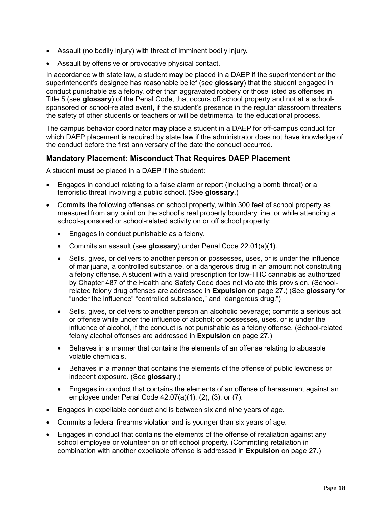- Assault (no bodily injury) with threat of imminent bodily injury.
- Assault by offensive or provocative physical contact.

In accordance with state law, a student **may** be placed in a DAEP if the superintendent or the superintendent's designee has reasonable belief (see **glossary**) that the student engaged in conduct punishable as a felony, other than aggravated robbery or those listed as offenses in Title 5 (see **glossary**) of the Penal Code, that occurs off school property and not at a schoolsponsored or school-related event, if the student's presence in the regular classroom threatens the safety of other students or teachers or will be detrimental to the educational process.

The campus behavior coordinator **may** place a student in a DAEP for off-campus conduct for which DAEP placement is required by state law if the administrator does not have knowledge of the conduct before the first anniversary of the date the conduct occurred.

#### <span id="page-20-0"></span>**Mandatory Placement: Misconduct That Requires DAEP Placement**

A student **must** be placed in a DAEP if the student:

- Engages in conduct relating to a false alarm or report (including a bomb threat) or a terroristic threat involving a public school. (See **glossary**.)
- Commits the following offenses on school property, within 300 feet of school property as measured from any point on the school's real property boundary line, or while attending a school-sponsored or school-related activity on or off school property:
	- Engages in conduct punishable as a felony.
	- Commits an assault (see **glossary**) under Penal Code 22.01(a)(1).
	- Sells, gives, or delivers to another person or possesses, uses, or is under the influence of marijuana, a controlled substance, or a dangerous drug in an amount not constituting a felony offense. A student with a valid prescription for low-THC cannabis as authorized by Chapter 487 of the Health and Safety Code does not violate this provision. (Schoolrelated felony drug offenses are addressed in **Expulsion** on page [27.](#page-29-0)) (See **glossary** for "under the influence" "controlled substance," and "dangerous drug.")
	- Sells, gives, or delivers to another person an alcoholic beverage; commits a serious act or offense while under the influence of alcohol; or possesses, uses, or is under the influence of alcohol, if the conduct is not punishable as a felony offense. (School-related felony alcohol offenses are addressed in **Expulsion** on page [27.](#page-29-0))
	- Behaves in a manner that contains the elements of an offense relating to abusable volatile chemicals.
	- Behaves in a manner that contains the elements of the offense of public lewdness or indecent exposure. (See **glossary**.)
	- Engages in conduct that contains the elements of an offense of harassment against an employee under Penal Code 42.07(a)(1), (2), (3), or (7).
- Engages in expellable conduct and is between six and nine years of age.
- Commits a federal firearms violation and is younger than six years of age.
- Engages in conduct that contains the elements of the offense of retaliation against any school employee or volunteer on or off school property. (Committing retaliation in combination with another expellable offense is addressed in **Expulsion** on page [27.](#page-29-0))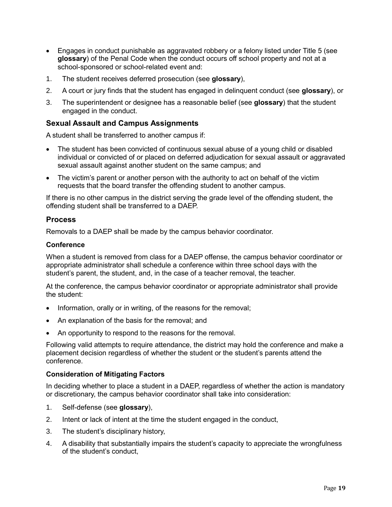- Engages in conduct punishable as aggravated robbery or a felony listed under Title 5 (see **glossary**) of the Penal Code when the conduct occurs off school property and not at a school-sponsored or school-related event and:
- 1. The student receives deferred prosecution (see **glossary**),
- 2. A court or jury finds that the student has engaged in delinquent conduct (see **glossary**), or
- 3. The superintendent or designee has a reasonable belief (see **glossary**) that the student engaged in the conduct.

#### <span id="page-21-0"></span>**Sexual Assault and Campus Assignments**

A student shall be transferred to another campus if:

- The student has been convicted of continuous sexual abuse of a young child or disabled individual or convicted of or placed on deferred adjudication for sexual assault or aggravated sexual assault against another student on the same campus; and
- The victim's parent or another person with the authority to act on behalf of the victim requests that the board transfer the offending student to another campus.

If there is no other campus in the district serving the grade level of the offending student, the offending student shall be transferred to a DAEP.

#### <span id="page-21-1"></span>**Process**

Removals to a DAEP shall be made by the campus behavior coordinator.

#### **Conference**

When a student is removed from class for a DAEP offense, the campus behavior coordinator or appropriate administrator shall schedule a conference within three school days with the student's parent, the student, and, in the case of a teacher removal, the teacher.

At the conference, the campus behavior coordinator or appropriate administrator shall provide the student:

- Information, orally or in writing, of the reasons for the removal;
- An explanation of the basis for the removal; and
- An opportunity to respond to the reasons for the removal.

Following valid attempts to require attendance, the district may hold the conference and make a placement decision regardless of whether the student or the student's parents attend the conference.

#### **Consideration of Mitigating Factors**

In deciding whether to place a student in a DAEP, regardless of whether the action is mandatory or discretionary, the campus behavior coordinator shall take into consideration:

- 1. Self-defense (see **glossary**),
- 2. Intent or lack of intent at the time the student engaged in the conduct,
- 3. The student's disciplinary history,
- 4. A disability that substantially impairs the student's capacity to appreciate the wrongfulness of the student's conduct,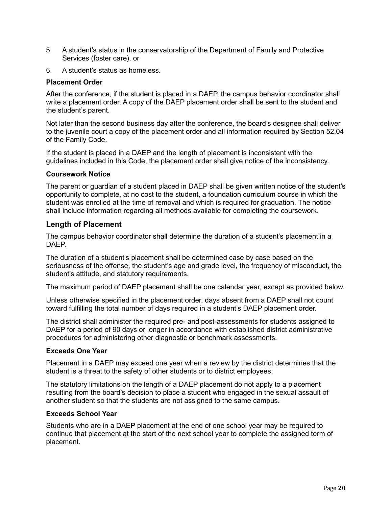- 5. A student's status in the conservatorship of the Department of Family and Protective Services (foster care), or
- 6. A student's status as homeless.

#### **Placement Order**

After the conference, if the student is placed in a DAEP, the campus behavior coordinator shall write a placement order. A copy of the DAEP placement order shall be sent to the student and the student's parent.

Not later than the second business day after the conference, the board's designee shall deliver to the juvenile court a copy of the placement order and all information required by Section 52.04 of the Family Code.

If the student is placed in a DAEP and the length of placement is inconsistent with the guidelines included in this Code, the placement order shall give notice of the inconsistency.

#### **Coursework Notice**

The parent or guardian of a student placed in DAEP shall be given written notice of the student's opportunity to complete, at no cost to the student, a foundation curriculum course in which the student was enrolled at the time of removal and which is required for graduation. The notice shall include information regarding all methods available for completing the coursework.

#### <span id="page-22-0"></span>**Length of Placement**

The campus behavior coordinator shall determine the duration of a student's placement in a **DAFP** 

The duration of a student's placement shall be determined case by case based on the seriousness of the offense, the student's age and grade level, the frequency of misconduct, the student's attitude, and statutory requirements.

The maximum period of DAEP placement shall be one calendar year, except as provided below.

Unless otherwise specified in the placement order, days absent from a DAEP shall not count toward fulfilling the total number of days required in a student's DAEP placement order.

The district shall administer the required pre- and post-assessments for students assigned to DAEP for a period of 90 days or longer in accordance with established district administrative procedures for administering other diagnostic or benchmark assessments.

#### **Exceeds One Year**

Placement in a DAEP may exceed one year when a review by the district determines that the student is a threat to the safety of other students or to district employees.

The statutory limitations on the length of a DAEP placement do not apply to a placement resulting from the board's decision to place a student who engaged in the sexual assault of another student so that the students are not assigned to the same campus.

#### **Exceeds School Year**

Students who are in a DAEP placement at the end of one school year may be required to continue that placement at the start of the next school year to complete the assigned term of placement.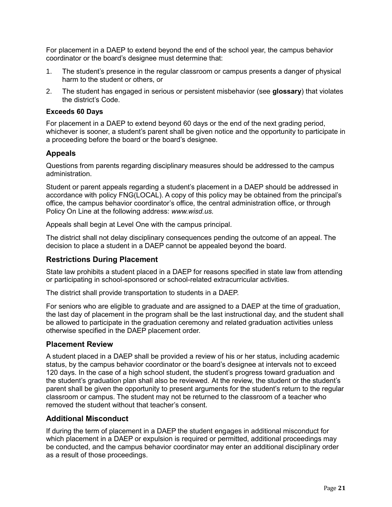For placement in a DAEP to extend beyond the end of the school year, the campus behavior coordinator or the board's designee must determine that:

- 1. The student's presence in the regular classroom or campus presents a danger of physical harm to the student or others, or
- 2. The student has engaged in serious or persistent misbehavior (see **glossary**) that violates the district's Code.

#### **Exceeds 60 Days**

For placement in a DAEP to extend beyond 60 days or the end of the next grading period, whichever is sooner, a student's parent shall be given notice and the opportunity to participate in a proceeding before the board or the board's designee.

#### <span id="page-23-0"></span>**Appeals**

Questions from parents regarding disciplinary measures should be addressed to the campus administration.

Student or parent appeals regarding a student's placement in a DAEP should be addressed in accordance with policy FNG(LOCAL). A copy of this policy may be obtained from the principal's office, the campus behavior coordinator's office, the central administration office, or through Policy On Line at the following address: *www.wisd.us.*

Appeals shall begin at Level One with the campus principal.

The district shall not delay disciplinary consequences pending the outcome of an appeal. The decision to place a student in a DAEP cannot be appealed beyond the board.

#### <span id="page-23-1"></span>**Restrictions During Placement**

State law prohibits a student placed in a DAEP for reasons specified in state law from attending or participating in school-sponsored or school-related extracurricular activities.

The district shall provide transportation to students in a DAEP.

For seniors who are eligible to graduate and are assigned to a DAEP at the time of graduation, the last day of placement in the program shall be the last instructional day, and the student shall be allowed to participate in the graduation ceremony and related graduation activities unless otherwise specified in the DAEP placement order.

#### <span id="page-23-2"></span>**Placement Review**

A student placed in a DAEP shall be provided a review of his or her status, including academic status, by the campus behavior coordinator or the board's designee at intervals not to exceed 120 days. In the case of a high school student, the student's progress toward graduation and the student's graduation plan shall also be reviewed. At the review, the student or the student's parent shall be given the opportunity to present arguments for the student's return to the regular classroom or campus. The student may not be returned to the classroom of a teacher who removed the student without that teacher's consent.

#### <span id="page-23-3"></span>**Additional Misconduct**

If during the term of placement in a DAEP the student engages in additional misconduct for which placement in a DAEP or expulsion is required or permitted, additional proceedings may be conducted, and the campus behavior coordinator may enter an additional disciplinary order as a result of those proceedings.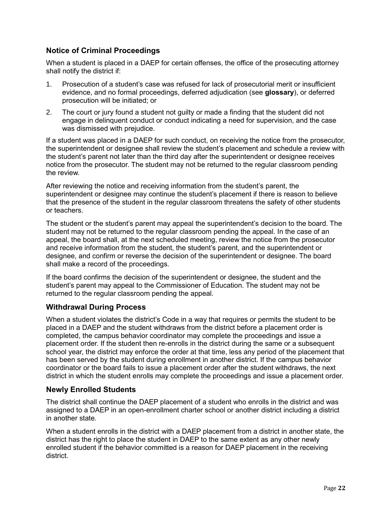#### <span id="page-24-0"></span>**Notice of Criminal Proceedings**

When a student is placed in a DAEP for certain offenses, the office of the prosecuting attorney shall notify the district if:

- 1. Prosecution of a student's case was refused for lack of prosecutorial merit or insufficient evidence, and no formal proceedings, deferred adjudication (see **glossary**), or deferred prosecution will be initiated; or
- 2. The court or jury found a student not guilty or made a finding that the student did not engage in delinquent conduct or conduct indicating a need for supervision, and the case was dismissed with prejudice.

If a student was placed in a DAEP for such conduct, on receiving the notice from the prosecutor, the superintendent or designee shall review the student's placement and schedule a review with the student's parent not later than the third day after the superintendent or designee receives notice from the prosecutor. The student may not be returned to the regular classroom pending the review.

After reviewing the notice and receiving information from the student's parent, the superintendent or designee may continue the student's placement if there is reason to believe that the presence of the student in the regular classroom threatens the safety of other students or teachers.

The student or the student's parent may appeal the superintendent's decision to the board. The student may not be returned to the regular classroom pending the appeal. In the case of an appeal, the board shall, at the next scheduled meeting, review the notice from the prosecutor and receive information from the student, the student's parent, and the superintendent or designee, and confirm or reverse the decision of the superintendent or designee. The board shall make a record of the proceedings.

If the board confirms the decision of the superintendent or designee, the student and the student's parent may appeal to the Commissioner of Education. The student may not be returned to the regular classroom pending the appeal.

#### <span id="page-24-1"></span>**Withdrawal During Process**

When a student violates the district's Code in a way that requires or permits the student to be placed in a DAEP and the student withdraws from the district before a placement order is completed, the campus behavior coordinator may complete the proceedings and issue a placement order. If the student then re-enrolls in the district during the same or a subsequent school year, the district may enforce the order at that time, less any period of the placement that has been served by the student during enrollment in another district. If the campus behavior coordinator or the board fails to issue a placement order after the student withdraws, the next district in which the student enrolls may complete the proceedings and issue a placement order.

#### <span id="page-24-2"></span>**Newly Enrolled Students**

The district shall continue the DAEP placement of a student who enrolls in the district and was assigned to a DAEP in an open-enrollment charter school or another district including a district in another state.

When a student enrolls in the district with a DAEP placement from a district in another state, the district has the right to place the student in DAEP to the same extent as any other newly enrolled student if the behavior committed is a reason for DAEP placement in the receiving district.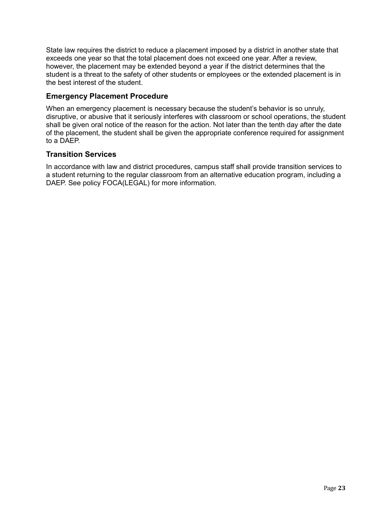State law requires the district to reduce a placement imposed by a district in another state that exceeds one year so that the total placement does not exceed one year. After a review, however, the placement may be extended beyond a year if the district determines that the student is a threat to the safety of other students or employees or the extended placement is in the best interest of the student.

#### <span id="page-25-0"></span>**Emergency Placement Procedure**

When an emergency placement is necessary because the student's behavior is so unruly, disruptive, or abusive that it seriously interferes with classroom or school operations, the student shall be given oral notice of the reason for the action. Not later than the tenth day after the date of the placement, the student shall be given the appropriate conference required for assignment to a DAEP.

#### <span id="page-25-1"></span>**Transition Services**

In accordance with law and district procedures, campus staff shall provide transition services to a student returning to the regular classroom from an alternative education program, including a DAEP. See policy FOCA(LEGAL) for more information.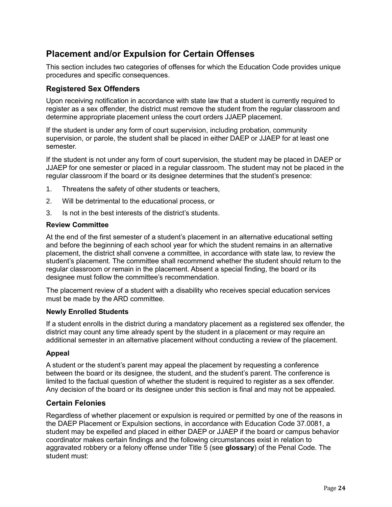## <span id="page-26-0"></span>**Placement and/or Expulsion for Certain Offenses**

This section includes two categories of offenses for which the Education Code provides unique procedures and specific consequences.

#### <span id="page-26-1"></span>**Registered Sex Offenders**

Upon receiving notification in accordance with state law that a student is currently required to register as a sex offender, the district must remove the student from the regular classroom and determine appropriate placement unless the court orders JJAEP placement.

If the student is under any form of court supervision, including probation, community supervision, or parole, the student shall be placed in either DAEP or JJAEP for at least one semester.

If the student is not under any form of court supervision, the student may be placed in DAEP or JJAEP for one semester or placed in a regular classroom. The student may not be placed in the regular classroom if the board or its designee determines that the student's presence:

- 1. Threatens the safety of other students or teachers,
- 2. Will be detrimental to the educational process, or
- 3. Is not in the best interests of the district's students.

#### **Review Committee**

At the end of the first semester of a student's placement in an alternative educational setting and before the beginning of each school year for which the student remains in an alternative placement, the district shall convene a committee, in accordance with state law, to review the student's placement. The committee shall recommend whether the student should return to the regular classroom or remain in the placement. Absent a special finding, the board or its designee must follow the committee's recommendation.

The placement review of a student with a disability who receives special education services must be made by the ARD committee.

#### **Newly Enrolled Students**

If a student enrolls in the district during a mandatory placement as a registered sex offender, the district may count any time already spent by the student in a placement or may require an additional semester in an alternative placement without conducting a review of the placement.

#### **Appeal**

A student or the student's parent may appeal the placement by requesting a conference between the board or its designee, the student, and the student's parent. The conference is limited to the factual question of whether the student is required to register as a sex offender. Any decision of the board or its designee under this section is final and may not be appealed.

#### <span id="page-26-2"></span>**Certain Felonies**

Regardless of whether placement or expulsion is required or permitted by one of the reasons in the DAEP Placement or Expulsion sections, in accordance with Education Code 37.0081, a student may be expelled and placed in either DAEP or JJAEP if the board or campus behavior coordinator makes certain findings and the following circumstances exist in relation to aggravated robbery or a felony offense under Title 5 (see **glossary**) of the Penal Code. The student must: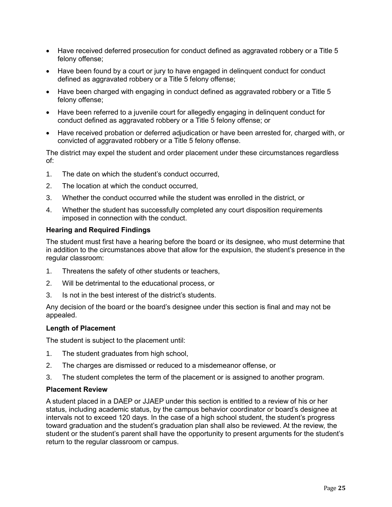- Have received deferred prosecution for conduct defined as aggravated robbery or a Title 5 felony offense;
- Have been found by a court or jury to have engaged in delinquent conduct for conduct defined as aggravated robbery or a Title 5 felony offense;
- Have been charged with engaging in conduct defined as aggravated robbery or a Title 5 felony offense;
- Have been referred to a juvenile court for allegedly engaging in delinquent conduct for conduct defined as aggravated robbery or a Title 5 felony offense; or
- Have received probation or deferred adjudication or have been arrested for, charged with, or convicted of aggravated robbery or a Title 5 felony offense.

The district may expel the student and order placement under these circumstances regardless of:

- 1. The date on which the student's conduct occurred,
- 2. The location at which the conduct occurred,
- 3. Whether the conduct occurred while the student was enrolled in the district, or
- 4. Whether the student has successfully completed any court disposition requirements imposed in connection with the conduct.

#### **Hearing and Required Findings**

The student must first have a hearing before the board or its designee, who must determine that in addition to the circumstances above that allow for the expulsion, the student's presence in the regular classroom:

- 1. Threatens the safety of other students or teachers,
- 2. Will be detrimental to the educational process, or
- 3. Is not in the best interest of the district's students.

Any decision of the board or the board's designee under this section is final and may not be appealed.

#### **Length of Placement**

The student is subject to the placement until:

- 1. The student graduates from high school,
- 2. The charges are dismissed or reduced to a misdemeanor offense, or
- 3. The student completes the term of the placement or is assigned to another program.

#### **Placement Review**

A student placed in a DAEP or JJAEP under this section is entitled to a review of his or her status, including academic status, by the campus behavior coordinator or board's designee at intervals not to exceed 120 days. In the case of a high school student, the student's progress toward graduation and the student's graduation plan shall also be reviewed. At the review, the student or the student's parent shall have the opportunity to present arguments for the student's return to the regular classroom or campus.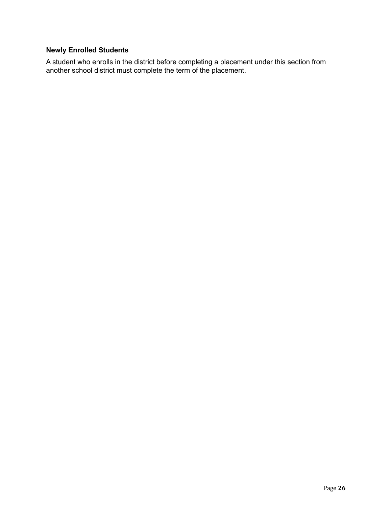#### **Newly Enrolled Students**

A student who enrolls in the district before completing a placement under this section from another school district must complete the term of the placement.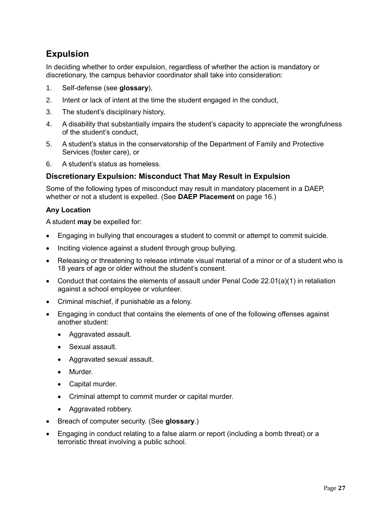## <span id="page-29-0"></span>**Expulsion**

In deciding whether to order expulsion, regardless of whether the action is mandatory or discretionary, the campus behavior coordinator shall take into consideration:

- 1. Self-defense (see **glossary**),
- 2. Intent or lack of intent at the time the student engaged in the conduct,
- 3. The student's disciplinary history,
- 4. A disability that substantially impairs the student's capacity to appreciate the wrongfulness of the student's conduct,
- 5. A student's status in the conservatorship of the Department of Family and Protective Services (foster care), or
- 6. A student's status as homeless.

#### <span id="page-29-1"></span>**Discretionary Expulsion: Misconduct That May Result in Expulsion**

Some of the following types of misconduct may result in mandatory placement in a DAEP, whether or not a student is expelled. (See **DAEP Placement** on page [16.](#page-18-1))

#### **Any Location**

A student **may** be expelled for:

- Engaging in bullying that encourages a student to commit or attempt to commit suicide.
- Inciting violence against a student through group bullying.
- Releasing or threatening to release intimate visual material of a minor or of a student who is 18 years of age or older without the student's consent.
- Conduct that contains the elements of assault under Penal Code 22.01(a)(1) in retaliation against a school employee or volunteer.
- Criminal mischief, if punishable as a felony.
- Engaging in conduct that contains the elements of one of the following offenses against another student:
	- Aggravated assault.
	- Sexual assault.
	- Aggravated sexual assault.
	- Murder.
	- Capital murder.
	- Criminal attempt to commit murder or capital murder.
	- Aggravated robbery.
- Breach of computer security. (See **glossary**.)
- Engaging in conduct relating to a false alarm or report (including a bomb threat) or a terroristic threat involving a public school.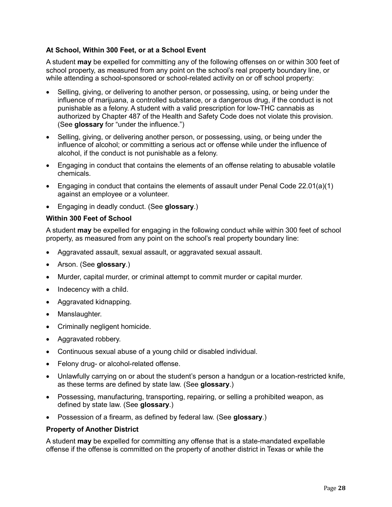#### **At School, Within 300 Feet, or at a School Event**

A student **may** be expelled for committing any of the following offenses on or within 300 feet of school property, as measured from any point on the school's real property boundary line, or while attending a school-sponsored or school-related activity on or off school property:

- Selling, giving, or delivering to another person, or possessing, using, or being under the influence of marijuana, a controlled substance, or a dangerous drug, if the conduct is not punishable as a felony. A student with a valid prescription for low-THC cannabis as authorized by Chapter 487 of the Health and Safety Code does not violate this provision. (See **glossary** for "under the influence.")
- Selling, giving, or delivering another person, or possessing, using, or being under the influence of alcohol; or committing a serious act or offense while under the influence of alcohol, if the conduct is not punishable as a felony.
- Engaging in conduct that contains the elements of an offense relating to abusable volatile chemicals.
- Engaging in conduct that contains the elements of assault under Penal Code 22.01(a)(1) against an employee or a volunteer.
- Engaging in deadly conduct. (See **glossary**.)

#### **Within 300 Feet of School**

A student **may** be expelled for engaging in the following conduct while within 300 feet of school property, as measured from any point on the school's real property boundary line:

- Aggravated assault, sexual assault, or aggravated sexual assault.
- Arson. (See **glossary**.)
- Murder, capital murder, or criminal attempt to commit murder or capital murder.
- Indecency with a child.
- Aggravated kidnapping.
- Manslaughter.
- Criminally negligent homicide.
- Aggravated robbery.
- Continuous sexual abuse of a young child or disabled individual.
- Felony drug- or alcohol-related offense.
- Unlawfully carrying on or about the student's person a handgun or a location-restricted knife, as these terms are defined by state law. (See **glossary**.)
- Possessing, manufacturing, transporting, repairing, or selling a prohibited weapon, as defined by state law. (See **glossary**.)
- Possession of a firearm, as defined by federal law. (See **glossary**.)

#### **Property of Another District**

A student **may** be expelled for committing any offense that is a state-mandated expellable offense if the offense is committed on the property of another district in Texas or while the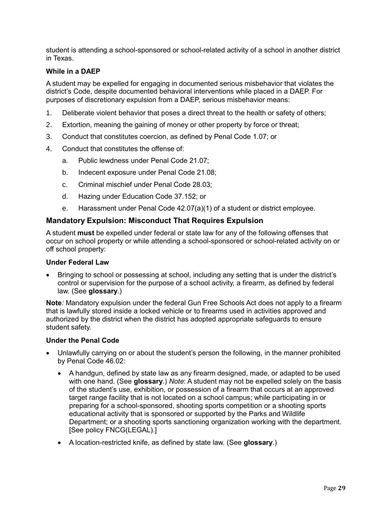student is attending a school-sponsored or school-related activity of a school in another district in Texas.

#### **While in a DAEP**

A student may be expelled for engaging in documented serious misbehavior that violates the district's Code, despite documented behavioral interventions while placed in a DAEP. For purposes of discretionary expulsion from a DAEP, serious misbehavior means:

- 1. Deliberate violent behavior that poses a direct threat to the health or safety of others;
- 2. Extortion, meaning the gaining of money or other property by force or threat;
- 3. Conduct that constitutes coercion, as defined by Penal Code 1.07; or
- 4. Conduct that constitutes the offense of:
	- a. Public lewdness under Penal Code 21.07;
	- b. Indecent exposure under Penal Code 21.08;
	- c. Criminal mischief under Penal Code 28.03;
	- d. Hazing under Education Code 37.152; or
	- e. Harassment under Penal Code 42.07(a)(1) of a student or district employee.

#### <span id="page-31-0"></span>**Mandatory Expulsion: Misconduct That Requires Expulsion**

A student **must** be expelled under federal or state law for any of the following offenses that occur on school property or while attending a school-sponsored or school-related activity on or off school property:

#### **Under Federal Law**

 Bringing to school or possessing at school, including any setting that is under the district's control or supervision for the purpose of a school activity, a firearm, as defined by federal law. (See **glossary**.)

**Note***:* Mandatory expulsion under the federal Gun Free Schools Act does not apply to a firearm that is lawfully stored inside a locked vehicle or to firearms used in activities approved and authorized by the district when the district has adopted appropriate safeguards to ensure student safety.

#### **Under the Penal Code**

- Unlawfully carrying on or about the student's person the following, in the manner prohibited by Penal Code 46.02:
	- A handgun, defined by state law as any firearm designed, made, or adapted to be used with one hand. (See **glossary**.) *Note*: A student may not be expelled solely on the basis of the student's use, exhibition, or possession of a firearm that occurs at an approved target range facility that is not located on a school campus; while participating in or preparing for a school-sponsored, shooting sports competition or a shooting sports educational activity that is sponsored or supported by the Parks and Wildlife Department; or a shooting sports sanctioning organization working with the department. [See policy FNCG(LEGAL).]
	- A location-restricted knife, as defined by state law. (See **glossary**.)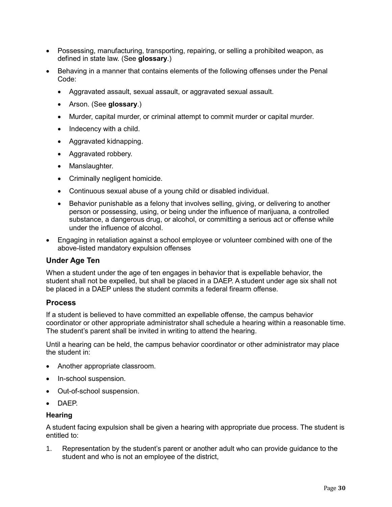- Possessing, manufacturing, transporting, repairing, or selling a prohibited weapon, as defined in state law. (See **glossary**.)
- Behaving in a manner that contains elements of the following offenses under the Penal Code:
	- Aggravated assault, sexual assault, or aggravated sexual assault.
	- Arson. (See **glossary**.)
	- Murder, capital murder, or criminal attempt to commit murder or capital murder.
	- $\bullet$  Indecency with a child.
	- Aggravated kidnapping.
	- Aggravated robbery.
	- Manslaughter.
	- Criminally negligent homicide.
	- Continuous sexual abuse of a young child or disabled individual.
	- Behavior punishable as a felony that involves selling, giving, or delivering to another person or possessing, using, or being under the influence of marijuana, a controlled substance, a dangerous drug, or alcohol, or committing a serious act or offense while under the influence of alcohol.
- Engaging in retaliation against a school employee or volunteer combined with one of the above-listed mandatory expulsion offenses

#### <span id="page-32-0"></span>**Under Age Ten**

When a student under the age of ten engages in behavior that is expellable behavior, the student shall not be expelled, but shall be placed in a DAEP. A student under age six shall not be placed in a DAEP unless the student commits a federal firearm offense.

#### <span id="page-32-1"></span>**Process**

If a student is believed to have committed an expellable offense, the campus behavior coordinator or other appropriate administrator shall schedule a hearing within a reasonable time. The student's parent shall be invited in writing to attend the hearing.

Until a hearing can be held, the campus behavior coordinator or other administrator may place the student in:

- Another appropriate classroom.
- In-school suspension.
- Out-of-school suspension.
- DAFP

#### **Hearing**

A student facing expulsion shall be given a hearing with appropriate due process. The student is entitled to:

1. Representation by the student's parent or another adult who can provide guidance to the student and who is not an employee of the district,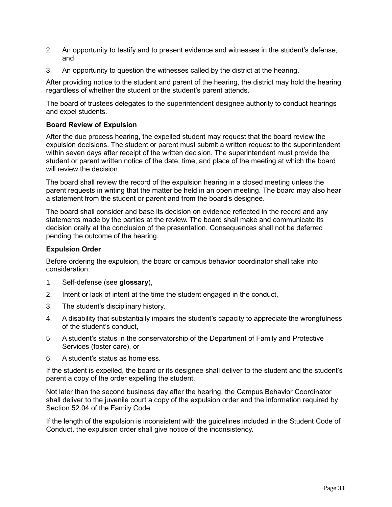- 2. An opportunity to testify and to present evidence and witnesses in the student's defense, and
- 3. An opportunity to question the witnesses called by the district at the hearing.

After providing notice to the student and parent of the hearing, the district may hold the hearing regardless of whether the student or the student's parent attends.

The board of trustees delegates to the superintendent designee authority to conduct hearings and expel students.

#### **Board Review of Expulsion**

After the due process hearing, the expelled student may request that the board review the expulsion decisions. The student or parent must submit a written request to the superintendent within seven days after receipt of the written decision. The superintendent must provide the student or parent written notice of the date, time, and place of the meeting at which the board will review the decision.

The board shall review the record of the expulsion hearing in a closed meeting unless the parent requests in writing that the matter be held in an open meeting. The board may also hear a statement from the student or parent and from the board's designee.

The board shall consider and base its decision on evidence reflected in the record and any statements made by the parties at the review. The board shall make and communicate its decision orally at the conclusion of the presentation. Consequences shall not be deferred pending the outcome of the hearing.

#### **Expulsion Order**

Before ordering the expulsion, the board or campus behavior coordinator shall take into consideration:

- 1. Self-defense (see **glossary**),
- 2. Intent or lack of intent at the time the student engaged in the conduct,
- 3. The student's disciplinary history,
- 4. A disability that substantially impairs the student's capacity to appreciate the wrongfulness of the student's conduct,
- 5. A student's status in the conservatorship of the Department of Family and Protective Services (foster care), or
- 6. A student's status as homeless.

If the student is expelled, the board or its designee shall deliver to the student and the student's parent a copy of the order expelling the student.

Not later than the second business day after the hearing, the Campus Behavior Coordinator shall deliver to the juvenile court a copy of the expulsion order and the information required by Section 52.04 of the Family Code.

If the length of the expulsion is inconsistent with the guidelines included in the Student Code of Conduct, the expulsion order shall give notice of the inconsistency.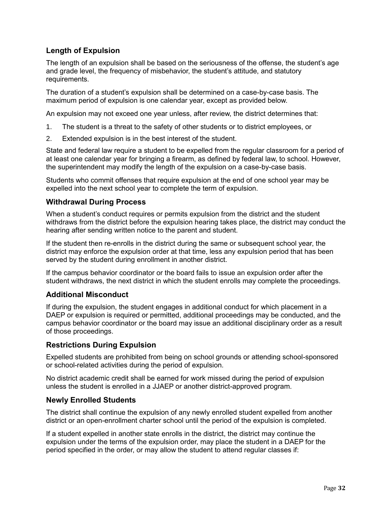#### <span id="page-34-0"></span>**Length of Expulsion**

The length of an expulsion shall be based on the seriousness of the offense, the student's age and grade level, the frequency of misbehavior, the student's attitude, and statutory requirements.

The duration of a student's expulsion shall be determined on a case-by-case basis. The maximum period of expulsion is one calendar year, except as provided below.

An expulsion may not exceed one year unless, after review, the district determines that:

- 1. The student is a threat to the safety of other students or to district employees, or
- 2. Extended expulsion is in the best interest of the student.

State and federal law require a student to be expelled from the regular classroom for a period of at least one calendar year for bringing a firearm, as defined by federal law, to school. However, the superintendent may modify the length of the expulsion on a case-by-case basis.

Students who commit offenses that require expulsion at the end of one school year may be expelled into the next school year to complete the term of expulsion.

#### <span id="page-34-1"></span>**Withdrawal During Process**

When a student's conduct requires or permits expulsion from the district and the student withdraws from the district before the expulsion hearing takes place, the district may conduct the hearing after sending written notice to the parent and student.

If the student then re-enrolls in the district during the same or subsequent school year, the district may enforce the expulsion order at that time, less any expulsion period that has been served by the student during enrollment in another district.

If the campus behavior coordinator or the board fails to issue an expulsion order after the student withdraws, the next district in which the student enrolls may complete the proceedings.

#### <span id="page-34-2"></span>**Additional Misconduct**

If during the expulsion, the student engages in additional conduct for which placement in a DAEP or expulsion is required or permitted, additional proceedings may be conducted, and the campus behavior coordinator or the board may issue an additional disciplinary order as a result of those proceedings.

#### <span id="page-34-3"></span>**Restrictions During Expulsion**

Expelled students are prohibited from being on school grounds or attending school-sponsored or school-related activities during the period of expulsion.

No district academic credit shall be earned for work missed during the period of expulsion unless the student is enrolled in a JJAEP or another district-approved program.

#### <span id="page-34-4"></span>**Newly Enrolled Students**

The district shall continue the expulsion of any newly enrolled student expelled from another district or an open-enrollment charter school until the period of the expulsion is completed.

If a student expelled in another state enrolls in the district, the district may continue the expulsion under the terms of the expulsion order, may place the student in a DAEP for the period specified in the order, or may allow the student to attend regular classes if: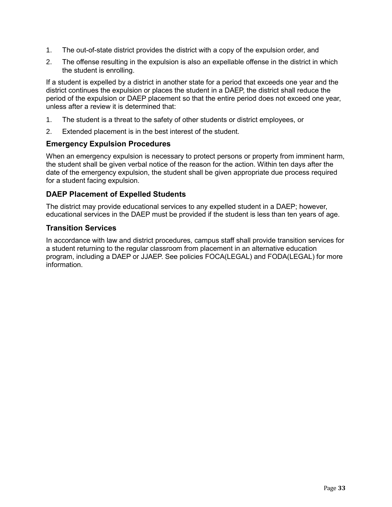- 1. The out-of-state district provides the district with a copy of the expulsion order, and
- 2. The offense resulting in the expulsion is also an expellable offense in the district in which the student is enrolling.

If a student is expelled by a district in another state for a period that exceeds one year and the district continues the expulsion or places the student in a DAEP, the district shall reduce the period of the expulsion or DAEP placement so that the entire period does not exceed one year, unless after a review it is determined that:

- 1. The student is a threat to the safety of other students or district employees, or
- 2. Extended placement is in the best interest of the student.

#### <span id="page-35-0"></span>**Emergency Expulsion Procedures**

When an emergency expulsion is necessary to protect persons or property from imminent harm, the student shall be given verbal notice of the reason for the action. Within ten days after the date of the emergency expulsion, the student shall be given appropriate due process required for a student facing expulsion.

#### <span id="page-35-1"></span>**DAEP Placement of Expelled Students**

The district may provide educational services to any expelled student in a DAEP; however, educational services in the DAEP must be provided if the student is less than ten years of age.

#### <span id="page-35-2"></span>**Transition Services**

In accordance with law and district procedures, campus staff shall provide transition services for a student returning to the regular classroom from placement in an alternative education program, including a DAEP or JJAEP. See policies FOCA(LEGAL) and FODA(LEGAL) for more information.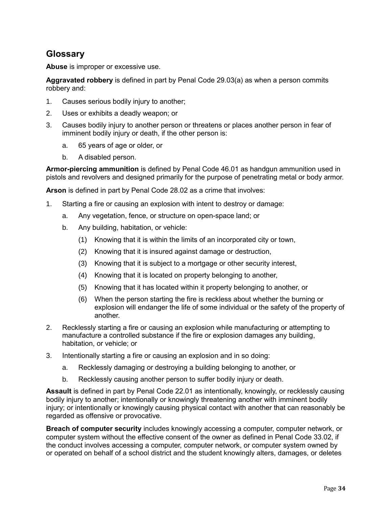## <span id="page-36-0"></span>**Glossary**

**Abuse** is improper or excessive use.

**Aggravated robbery** is defined in part by Penal Code 29.03(a) as when a person commits robbery and:

- 1. Causes serious bodily injury to another;
- 2. Uses or exhibits a deadly weapon; or
- 3. Causes bodily injury to another person or threatens or places another person in fear of imminent bodily injury or death, if the other person is:
	- a. 65 years of age or older, or
	- b. A disabled person.

**Armor-piercing ammunition** is defined by Penal Code 46.01 as handgun ammunition used in pistols and revolvers and designed primarily for the purpose of penetrating metal or body armor.

**Arson** is defined in part by Penal Code 28.02 as a crime that involves:

- 1. Starting a fire or causing an explosion with intent to destroy or damage:
	- a. Any vegetation, fence, or structure on open-space land; or
	- b. Any building, habitation, or vehicle:
		- (1) Knowing that it is within the limits of an incorporated city or town,
		- (2) Knowing that it is insured against damage or destruction,
		- (3) Knowing that it is subject to a mortgage or other security interest,
		- (4) Knowing that it is located on property belonging to another,
		- (5) Knowing that it has located within it property belonging to another, or
		- (6) When the person starting the fire is reckless about whether the burning or explosion will endanger the life of some individual or the safety of the property of another.
- 2. Recklessly starting a fire or causing an explosion while manufacturing or attempting to manufacture a controlled substance if the fire or explosion damages any building, habitation, or vehicle; or
- 3. Intentionally starting a fire or causing an explosion and in so doing:
	- a. Recklessly damaging or destroying a building belonging to another, or
	- b. Recklessly causing another person to suffer bodily injury or death.

**Assault** is defined in part by Penal Code 22.01 as intentionally, knowingly, or recklessly causing bodily injury to another; intentionally or knowingly threatening another with imminent bodily injury; or intentionally or knowingly causing physical contact with another that can reasonably be regarded as offensive or provocative.

**Breach of computer security** includes knowingly accessing a computer, computer network, or computer system without the effective consent of the owner as defined in Penal Code 33.02, if the conduct involves accessing a computer, computer network, or computer system owned by or operated on behalf of a school district and the student knowingly alters, damages, or deletes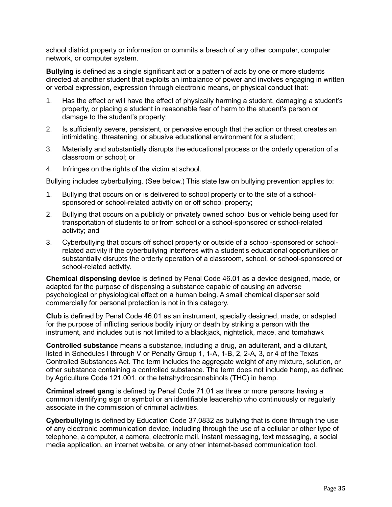school district property or information or commits a breach of any other computer, computer network, or computer system.

**Bullying** is defined as a single significant act or a pattern of acts by one or more students directed at another student that exploits an imbalance of power and involves engaging in written or verbal expression, expression through electronic means, or physical conduct that:

- 1. Has the effect or will have the effect of physically harming a student, damaging a student's property, or placing a student in reasonable fear of harm to the student's person or damage to the student's property;
- 2. Is sufficiently severe, persistent, or pervasive enough that the action or threat creates an intimidating, threatening, or abusive educational environment for a student;
- 3. Materially and substantially disrupts the educational process or the orderly operation of a classroom or school; or
- 4. Infringes on the rights of the victim at school.

Bullying includes cyberbullying. (See below.) This state law on bullying prevention applies to:

- 1. Bullying that occurs on or is delivered to school property or to the site of a schoolsponsored or school-related activity on or off school property;
- 2. Bullying that occurs on a publicly or privately owned school bus or vehicle being used for transportation of students to or from school or a school-sponsored or school-related activity; and
- 3. Cyberbullying that occurs off school property or outside of a school-sponsored or schoolrelated activity if the cyberbullying interferes with a student's educational opportunities or substantially disrupts the orderly operation of a classroom, school, or school-sponsored or school-related activity.

**Chemical dispensing device** is defined by Penal Code 46.01 as a device designed, made, or adapted for the purpose of dispensing a substance capable of causing an adverse psychological or physiological effect on a human being. A small chemical dispenser sold commercially for personal protection is not in this category.

**Club** is defined by Penal Code 46.01 as an instrument, specially designed, made, or adapted for the purpose of inflicting serious bodily injury or death by striking a person with the instrument, and includes but is not limited to a blackjack, nightstick, mace, and tomahawk

**Controlled substance** means a substance, including a drug, an adulterant, and a dilutant, listed in Schedules I through V or Penalty Group 1, 1-A, 1-B, 2, 2-A, 3, or 4 of the Texas Controlled Substances Act. The term includes the aggregate weight of any mixture, solution, or other substance containing a controlled substance. The term does not include hemp, as defined by Agriculture Code 121.001, or the tetrahydrocannabinols (THC) in hemp.

**Criminal street gang** is defined by Penal Code 71.01 as three or more persons having a common identifying sign or symbol or an identifiable leadership who continuously or regularly associate in the commission of criminal activities.

**Cyberbullying** is defined by Education Code 37.0832 as bullying that is done through the use of any electronic communication device, including through the use of a cellular or other type of telephone, a computer, a camera, electronic mail, instant messaging, text messaging, a social media application, an internet website, or any other internet-based communication tool.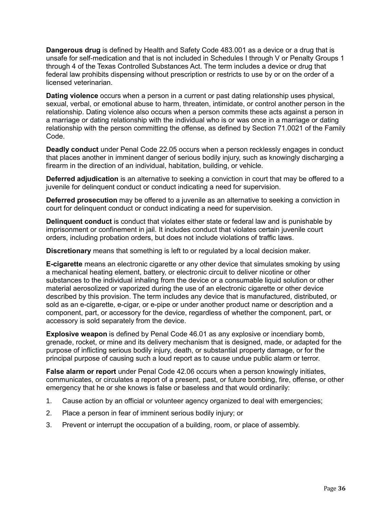**Dangerous drug** is defined by Health and Safety Code 483.001 as a device or a drug that is unsafe for self-medication and that is not included in Schedules I through V or Penalty Groups 1 through 4 of the Texas Controlled Substances Act. The term includes a device or drug that federal law prohibits dispensing without prescription or restricts to use by or on the order of a licensed veterinarian.

**Dating violence** occurs when a person in a current or past dating relationship uses physical, sexual, verbal, or emotional abuse to harm, threaten, intimidate, or control another person in the relationship. Dating violence also occurs when a person commits these acts against a person in a marriage or dating relationship with the individual who is or was once in a marriage or dating relationship with the person committing the offense, as defined by Section 71.0021 of the Family Code.

**Deadly conduct** under Penal Code 22.05 occurs when a person recklessly engages in conduct that places another in imminent danger of serious bodily injury, such as knowingly discharging a firearm in the direction of an individual, habitation, building, or vehicle.

**Deferred adjudication** is an alternative to seeking a conviction in court that may be offered to a juvenile for delinquent conduct or conduct indicating a need for supervision.

**Deferred prosecution** may be offered to a juvenile as an alternative to seeking a conviction in court for delinquent conduct or conduct indicating a need for supervision.

**Delinquent conduct** is conduct that violates either state or federal law and is punishable by imprisonment or confinement in jail. It includes conduct that violates certain juvenile court orders, including probation orders, but does not include violations of traffic laws.

**Discretionary** means that something is left to or regulated by a local decision maker.

**E-cigarette** means an electronic cigarette or any other device that simulates smoking by using a mechanical heating element, battery, or electronic circuit to deliver nicotine or other substances to the individual inhaling from the device or a consumable liquid solution or other material aerosolized or vaporized during the use of an electronic cigarette or other device described by this provision. The term includes any device that is manufactured, distributed, or sold as an e-cigarette, e-cigar, or e-pipe or under another product name or description and a component, part, or accessory for the device, regardless of whether the component, part, or accessory is sold separately from the device.

**Explosive weapon** is defined by Penal Code 46.01 as any explosive or incendiary bomb, grenade, rocket, or mine and its delivery mechanism that is designed, made, or adapted for the purpose of inflicting serious bodily injury, death, or substantial property damage, or for the principal purpose of causing such a loud report as to cause undue public alarm or terror.

**False alarm or report** under Penal Code 42.06 occurs when a person knowingly initiates, communicates, or circulates a report of a present, past, or future bombing, fire, offense, or other emergency that he or she knows is false or baseless and that would ordinarily:

- 1. Cause action by an official or volunteer agency organized to deal with emergencies;
- 2. Place a person in fear of imminent serious bodily injury; or
- 3. Prevent or interrupt the occupation of a building, room, or place of assembly.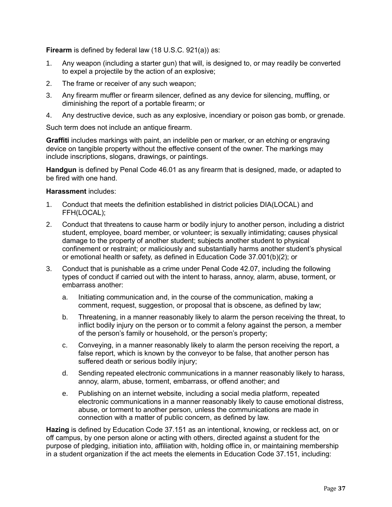**Firearm** is defined by federal law (18 U.S.C. 921(a)) as:

- 1. Any weapon (including a starter gun) that will, is designed to, or may readily be converted to expel a projectile by the action of an explosive;
- 2. The frame or receiver of any such weapon;
- 3. Any firearm muffler or firearm silencer, defined as any device for silencing, muffling, or diminishing the report of a portable [firearm;](https://www.law.cornell.edu/definitions/uscode.php?width=840&height=800&iframe=true&def_id=18-USC-849457050-943489799&term_occur=999&term_src=title:18:part:I:chapter:44:section:921) or
- 4. Any destructive device, such as any explosive, incendiary or poison gas bomb, or grenade.

Such term does not include an antique firearm.

**Graffiti** includes markings with paint, an indelible pen or marker, or an etching or engraving device on tangible property without the effective consent of the owner. The markings may include inscriptions, slogans, drawings, or paintings.

**Handgun** is defined by Penal Code 46.01 as any firearm that is designed, made, or adapted to be fired with one hand.

#### **Harassment** includes:

- 1. Conduct that meets the definition established in district policies DIA(LOCAL) and FFH(LOCAL);
- 2. Conduct that threatens to cause harm or bodily injury to another person, including a district student, employee, board member, or volunteer; is sexually intimidating; causes physical damage to the property of another student; subjects another student to physical confinement or restraint; or maliciously and substantially harms another student's physical or emotional health or safety, as defined in Education Code 37.001(b)(2); or
- 3. Conduct that is punishable as a crime under Penal Code 42.07, including the following types of conduct if carried out with the intent to harass, annoy, alarm, abuse, torment, or embarrass another:
	- a. Initiating communication and, in the course of the communication, making a comment, request, suggestion, or proposal that is obscene, as defined by law;
	- b. Threatening, in a manner reasonably likely to alarm the person receiving the threat, to inflict bodily injury on the person or to commit a felony against the person, a member of the person's family or household, or the person's property;
	- c. Conveying, in a manner reasonably likely to alarm the person receiving the report, a false report, which is known by the conveyor to be false, that another person has suffered death or serious bodily injury;
	- d. Sending repeated electronic communications in a manner reasonably likely to harass, annoy, alarm, abuse, torment, embarrass, or offend another; and
	- e. Publishing on an internet website, including a social media platform, repeated electronic communications in a manner reasonably likely to cause emotional distress, abuse, or torment to another person, unless the communications are made in connection with a matter of public concern, as defined by law.

**Hazing** is defined by Education Code 37.151 as an intentional, knowing, or reckless act, on or off campus, by one person alone or acting with others, directed against a student for the purpose of pledging, initiation into, affiliation with, holding office in, or maintaining membership in a student organization if the act meets the elements in Education Code 37.151, including: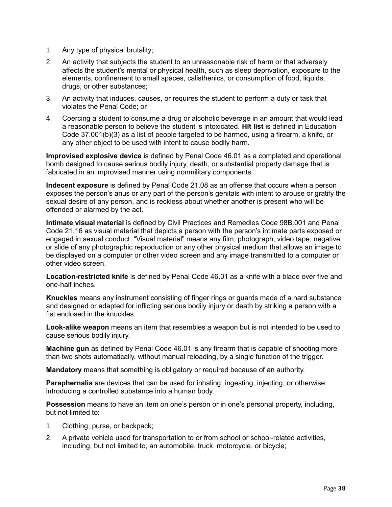- 1. Any type of physical brutality;
- 2. An activity that subjects the student to an unreasonable risk of harm or that adversely affects the student's mental or physical health, such as sleep deprivation, exposure to the elements, confinement to small spaces, calisthenics, or consumption of food, liquids, drugs, or other substances;
- 3. An activity that induces, causes, or requires the student to perform a duty or task that violates the Penal Code; or
- 4. Coercing a student to consume a drug or alcoholic beverage in an amount that would lead a reasonable person to believe the student is intoxicated. **Hit list** is defined in Education Code 37.001(b)(3) as a list of people targeted to be harmed, using a firearm, a knife, or any other object to be used with intent to cause bodily harm.

**Improvised explosive device** is defined by Penal Code 46.01 as a completed and operational bomb designed to cause serious bodily injury, death, or substantial property damage that is fabricated in an improvised manner using nonmilitary components.

**Indecent exposure** is defined by Penal Code 21.08 as an offense that occurs when a person exposes the person's anus or any part of the person's genitals with intent to arouse or gratify the sexual desire of any person, and is reckless about whether another is present who will be offended or alarmed by the act.

**Intimate visual material** is defined by Civil Practices and Remedies Code 98B.001 and Penal Code 21.16 as visual material that depicts a person with the person's intimate parts exposed or engaged in sexual conduct. "Visual material" means any film, photograph, video tape, negative, or slide of any photographic reproduction or any other physical medium that allows an image to be displayed on a computer or other video screen and any image transmitted to a computer or other video screen.

**Location-restricted knife** is defined by Penal Code 46.01 as a knife with a blade over five and one-half inches.

**Knuckles** means any instrument consisting of finger rings or guards made of a hard substance and designed or adapted for inflicting serious bodily injury or death by striking a person with a fist enclosed in the knuckles.

**Look-alike weapon** means an item that resembles a weapon but is not intended to be used to cause serious bodily injury.

**Machine gun** as defined by Penal Code 46.01 is any firearm that is capable of shooting more than two shots automatically, without manual reloading, by a single function of the trigger.

**Mandatory** means that something is obligatory or required because of an authority.

**Paraphernalia** are devices that can be used for inhaling, ingesting, injecting, or otherwise introducing a controlled substance into a human body.

**Possession** means to have an item on one's person or in one's personal property, including, but not limited to:

- 1. Clothing, purse, or backpack;
- 2. A private vehicle used for transportation to or from school or school-related activities, including, but not limited to, an automobile, truck, motorcycle, or bicycle;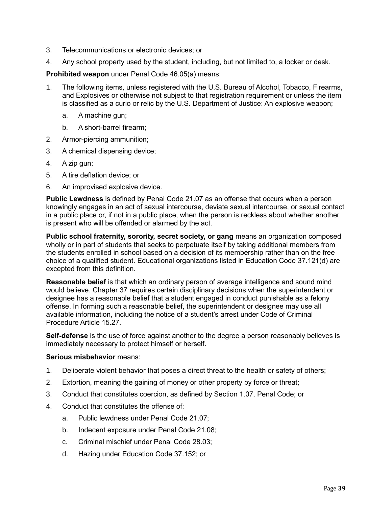- 3. Telecommunications or electronic devices; or
- 4. Any school property used by the student, including, but not limited to, a locker or desk.

**Prohibited weapon** under Penal Code 46.05(a) means:

- 1. The following items, unless registered with the U.S. Bureau of Alcohol, Tobacco, Firearms, and Explosives or otherwise not subject to that registration requirement or unless the item is classified as a curio or relic by the U.S. Department of Justice: An explosive weapon;
	- a. A machine gun;
	- b. A short-barrel firearm;
- 2. Armor-piercing ammunition;
- 3. A chemical dispensing device;
- 4. A zip gun;
- 5. A tire deflation device; or
- 6. An improvised explosive device.

**Public Lewdness** is defined by Penal Code 21.07 as an offense that occurs when a person knowingly engages in an act of sexual intercourse, deviate sexual intercourse, or sexual contact in a public place or, if not in a public place, when the person is reckless about whether another is present who will be offended or alarmed by the act.

**Public school fraternity, sorority, secret society, or gang** means an organization composed wholly or in part of students that seeks to perpetuate itself by taking additional members from the students enrolled in school based on a decision of its membership rather than on the free choice of a qualified student. Educational organizations listed in Education Code 37.121(d) are excepted from this definition.

**Reasonable belief** is that which an ordinary person of average intelligence and sound mind would believe. Chapter 37 requires certain disciplinary decisions when the superintendent or designee has a reasonable belief that a student engaged in conduct punishable as a felony offense. In forming such a reasonable belief, the superintendent or designee may use all available information, including the notice of a student's arrest under Code of Criminal Procedure Article 15.27.

**Self-defense** is the use of force against another to the degree a person reasonably believes is immediately necessary to protect himself or herself.

#### **Serious misbehavior** means:

- 1. Deliberate violent behavior that poses a direct threat to the health or safety of others;
- 2. Extortion, meaning the gaining of money or other property by force or threat;
- 3. Conduct that constitutes coercion, as defined by Section 1.07, Penal Code; or
- 4. Conduct that constitutes the offense of:
	- a. Public lewdness under Penal Code 21.07;
	- b. Indecent exposure under Penal Code 21.08;
	- c. Criminal mischief under Penal Code 28.03;
	- d. Hazing under Education Code 37.152; or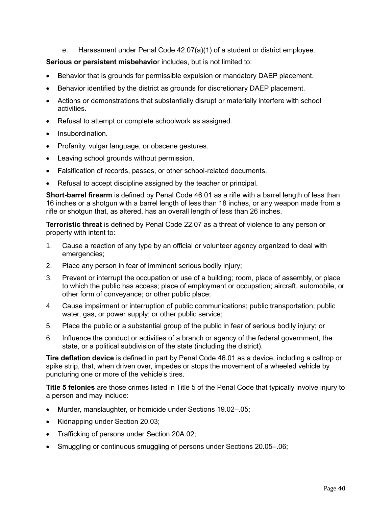e. Harassment under Penal Code 42.07(a)(1) of a student or district employee.

#### **Serious or persistent misbehavio**r includes, but is not limited to:

- Behavior that is grounds for permissible expulsion or mandatory DAEP placement.
- Behavior identified by the district as grounds for discretionary DAEP placement.
- Actions or demonstrations that substantially disrupt or materially interfere with school activities.
- Refusal to attempt or complete schoolwork as assigned.
- Insubordination.
- Profanity, vulgar language, or obscene gestures.
- Leaving school grounds without permission.
- Falsification of records, passes, or other school-related documents.
- Refusal to accept discipline assigned by the teacher or principal.

**Short-barrel firearm** is defined by Penal Code 46.01 as a rifle with a barrel length of less than 16 inches or a shotgun with a barrel length of less than 18 inches, or any weapon made from a rifle or shotgun that, as altered, has an overall length of less than 26 inches.

**Terroristic threat** is defined by Penal Code 22.07 as a threat of violence to any person or property with intent to:

- 1. Cause a reaction of any type by an official or volunteer agency organized to deal with emergencies;
- 2. Place any person in fear of imminent serious bodily injury;
- 3. Prevent or interrupt the occupation or use of a building; room, place of assembly, or place to which the public has access; place of employment or occupation; aircraft, automobile, or other form of conveyance; or other public place;
- 4. Cause impairment or interruption of public communications; public transportation; public water, gas, or power supply; or other public service;
- 5. Place the public or a substantial group of the public in fear of serious bodily injury; or
- 6. Influence the conduct or activities of a branch or agency of the federal government, the state, or a political subdivision of the state (including the district).

**Tire deflation device** is defined in part by Penal Code 46.01 as a device, including a caltrop or spike strip, that, when driven over, impedes or stops the movement of a wheeled vehicle by puncturing one or more of the vehicle's tires.

**Title 5 felonies** are those crimes listed in Title 5 of the Penal Code that typically involve injury to a person and may include:

- Murder, manslaughter, or homicide under Sections 19.02–.05;
- Kidnapping under Section 20.03;
- Trafficking of persons under Section 20A.02;
- Smuggling or continuous smuggling of persons under Sections 20.05–.06;